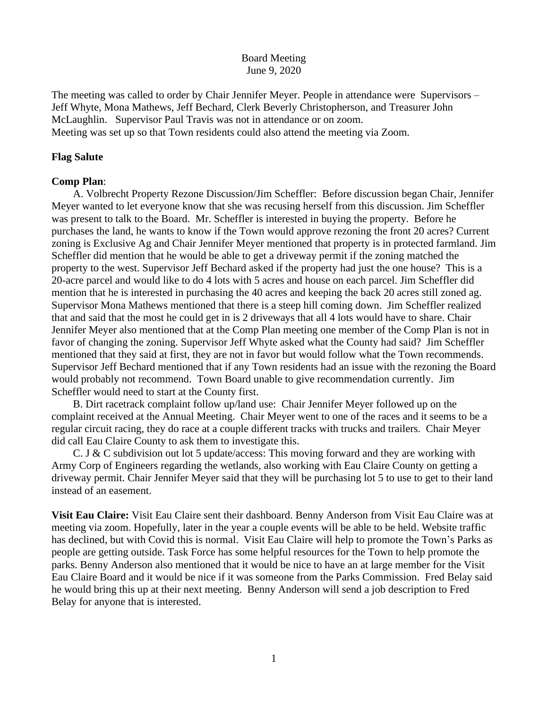### Board Meeting June 9, 2020

The meeting was called to order by Chair Jennifer Meyer. People in attendance were Supervisors – Jeff Whyte, Mona Mathews, Jeff Bechard, Clerk Beverly Christopherson, and Treasurer John McLaughlin. Supervisor Paul Travis was not in attendance or on zoom. Meeting was set up so that Town residents could also attend the meeting via Zoom.

# **Flag Salute**

## **Comp Plan**:

 A. Volbrecht Property Rezone Discussion/Jim Scheffler: Before discussion began Chair, Jennifer Meyer wanted to let everyone know that she was recusing herself from this discussion. Jim Scheffler was present to talk to the Board. Mr. Scheffler is interested in buying the property. Before he purchases the land, he wants to know if the Town would approve rezoning the front 20 acres? Current zoning is Exclusive Ag and Chair Jennifer Meyer mentioned that property is in protected farmland. Jim Scheffler did mention that he would be able to get a driveway permit if the zoning matched the property to the west. Supervisor Jeff Bechard asked if the property had just the one house? This is a 20-acre parcel and would like to do 4 lots with 5 acres and house on each parcel. Jim Scheffler did mention that he is interested in purchasing the 40 acres and keeping the back 20 acres still zoned ag. Supervisor Mona Mathews mentioned that there is a steep hill coming down. Jim Scheffler realized that and said that the most he could get in is 2 driveways that all 4 lots would have to share. Chair Jennifer Meyer also mentioned that at the Comp Plan meeting one member of the Comp Plan is not in favor of changing the zoning. Supervisor Jeff Whyte asked what the County had said? Jim Scheffler mentioned that they said at first, they are not in favor but would follow what the Town recommends. Supervisor Jeff Bechard mentioned that if any Town residents had an issue with the rezoning the Board would probably not recommend. Town Board unable to give recommendation currently. Jim Scheffler would need to start at the County first.

 B. Dirt racetrack complaint follow up/land use: Chair Jennifer Meyer followed up on the complaint received at the Annual Meeting. Chair Meyer went to one of the races and it seems to be a regular circuit racing, they do race at a couple different tracks with trucks and trailers. Chair Meyer did call Eau Claire County to ask them to investigate this.

C. J & C subdivision out lot 5 update/access: This moving forward and they are working with Army Corp of Engineers regarding the wetlands, also working with Eau Claire County on getting a driveway permit. Chair Jennifer Meyer said that they will be purchasing lot 5 to use to get to their land instead of an easement.

**Visit Eau Claire:** Visit Eau Claire sent their dashboard. Benny Anderson from Visit Eau Claire was at meeting via zoom. Hopefully, later in the year a couple events will be able to be held. Website traffic has declined, but with Covid this is normal. Visit Eau Claire will help to promote the Town's Parks as people are getting outside. Task Force has some helpful resources for the Town to help promote the parks. Benny Anderson also mentioned that it would be nice to have an at large member for the Visit Eau Claire Board and it would be nice if it was someone from the Parks Commission. Fred Belay said he would bring this up at their next meeting. Benny Anderson will send a job description to Fred Belay for anyone that is interested.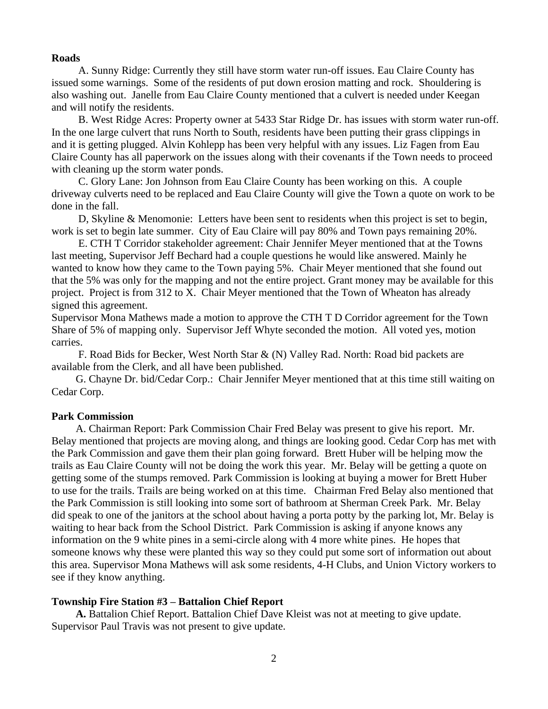#### **Roads**

A. Sunny Ridge: Currently they still have storm water run-off issues. Eau Claire County has issued some warnings. Some of the residents of put down erosion matting and rock. Shouldering is also washing out. Janelle from Eau Claire County mentioned that a culvert is needed under Keegan and will notify the residents.

 B. West Ridge Acres: Property owner at 5433 Star Ridge Dr. has issues with storm water run-off. In the one large culvert that runs North to South, residents have been putting their grass clippings in and it is getting plugged. Alvin Kohlepp has been very helpful with any issues. Liz Fagen from Eau Claire County has all paperwork on the issues along with their covenants if the Town needs to proceed with cleaning up the storm water ponds.

 C. Glory Lane: Jon Johnson from Eau Claire County has been working on this. A couple driveway culverts need to be replaced and Eau Claire County will give the Town a quote on work to be done in the fall.

 D, Skyline & Menomonie: Letters have been sent to residents when this project is set to begin, work is set to begin late summer. City of Eau Claire will pay 80% and Town pays remaining 20%.

 E. CTH T Corridor stakeholder agreement: Chair Jennifer Meyer mentioned that at the Towns last meeting, Supervisor Jeff Bechard had a couple questions he would like answered. Mainly he wanted to know how they came to the Town paying 5%. Chair Meyer mentioned that she found out that the 5% was only for the mapping and not the entire project. Grant money may be available for this project. Project is from 312 to X. Chair Meyer mentioned that the Town of Wheaton has already signed this agreement.

Supervisor Mona Mathews made a motion to approve the CTH T D Corridor agreement for the Town Share of 5% of mapping only. Supervisor Jeff Whyte seconded the motion. All voted yes, motion carries.

 F. Road Bids for Becker, West North Star & (N) Valley Rad. North: Road bid packets are available from the Clerk, and all have been published.

 G. Chayne Dr. bid/Cedar Corp.: Chair Jennifer Meyer mentioned that at this time still waiting on Cedar Corp.

#### **Park Commission**

 A. Chairman Report: Park Commission Chair Fred Belay was present to give his report. Mr. Belay mentioned that projects are moving along, and things are looking good. Cedar Corp has met with the Park Commission and gave them their plan going forward. Brett Huber will be helping mow the trails as Eau Claire County will not be doing the work this year. Mr. Belay will be getting a quote on getting some of the stumps removed. Park Commission is looking at buying a mower for Brett Huber to use for the trails. Trails are being worked on at this time. Chairman Fred Belay also mentioned that the Park Commission is still looking into some sort of bathroom at Sherman Creek Park. Mr. Belay did speak to one of the janitors at the school about having a porta potty by the parking lot, Mr. Belay is waiting to hear back from the School District. Park Commission is asking if anyone knows any information on the 9 white pines in a semi-circle along with 4 more white pines. He hopes that someone knows why these were planted this way so they could put some sort of information out about this area. Supervisor Mona Mathews will ask some residents, 4-H Clubs, and Union Victory workers to see if they know anything.

#### **Township Fire Station #3 – Battalion Chief Report**

 **A.** Battalion Chief Report. Battalion Chief Dave Kleist was not at meeting to give update. Supervisor Paul Travis was not present to give update.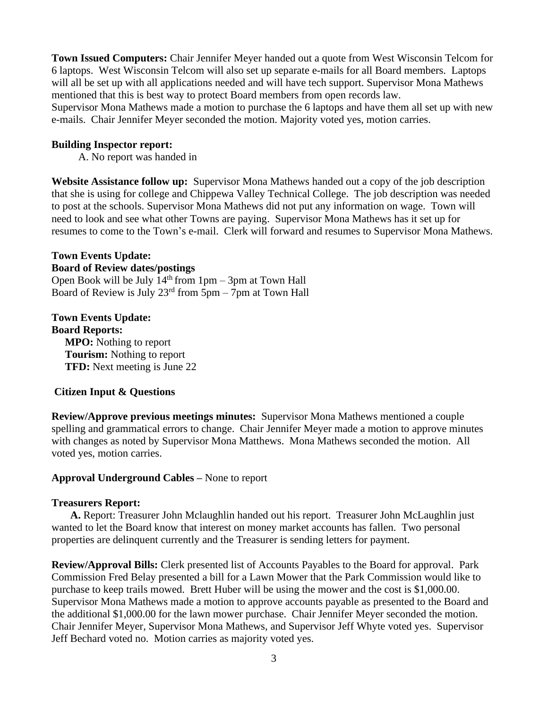**Town Issued Computers:** Chair Jennifer Meyer handed out a quote from West Wisconsin Telcom for 6 laptops. West Wisconsin Telcom will also set up separate e-mails for all Board members. Laptops will all be set up with all applications needed and will have tech support. Supervisor Mona Mathews mentioned that this is best way to protect Board members from open records law.

Supervisor Mona Mathews made a motion to purchase the 6 laptops and have them all set up with new e-mails. Chair Jennifer Meyer seconded the motion. Majority voted yes, motion carries.

### **Building Inspector report:**

A. No report was handed in

**Website Assistance follow up:** Supervisor Mona Mathews handed out a copy of the job description that she is using for college and Chippewa Valley Technical College. The job description was needed to post at the schools. Supervisor Mona Mathews did not put any information on wage. Town will need to look and see what other Towns are paying. Supervisor Mona Mathews has it set up for resumes to come to the Town's e-mail. Clerk will forward and resumes to Supervisor Mona Mathews.

### **Town Events Update: Board of Review dates/postings**

Open Book will be July  $14<sup>th</sup>$  from  $1pm - 3pm$  at Town Hall Board of Review is July  $23<sup>rd</sup>$  from  $5<sub>pm</sub> - 7<sub>pm</sub>$  at Town Hall

**Town Events Update: Board Reports: MPO:** Nothing to report  **Tourism:** Nothing to report **TFD:** Next meeting is June 22

### **Citizen Input & Questions**

**Review/Approve previous meetings minutes:** Supervisor Mona Mathews mentioned a couple spelling and grammatical errors to change. Chair Jennifer Meyer made a motion to approve minutes with changes as noted by Supervisor Mona Matthews. Mona Mathews seconded the motion. All voted yes, motion carries.

### **Approval Underground Cables –** None to report

### **Treasurers Report:**

 **A.** Report: Treasurer John Mclaughlin handed out his report. Treasurer John McLaughlin just wanted to let the Board know that interest on money market accounts has fallen. Two personal properties are delinquent currently and the Treasurer is sending letters for payment.

**Review/Approval Bills:** Clerk presented list of Accounts Payables to the Board for approval. Park Commission Fred Belay presented a bill for a Lawn Mower that the Park Commission would like to purchase to keep trails mowed. Brett Huber will be using the mower and the cost is \$1,000.00. Supervisor Mona Mathews made a motion to approve accounts payable as presented to the Board and the additional \$1,000.00 for the lawn mower purchase. Chair Jennifer Meyer seconded the motion. Chair Jennifer Meyer, Supervisor Mona Mathews, and Supervisor Jeff Whyte voted yes. Supervisor Jeff Bechard voted no. Motion carries as majority voted yes.